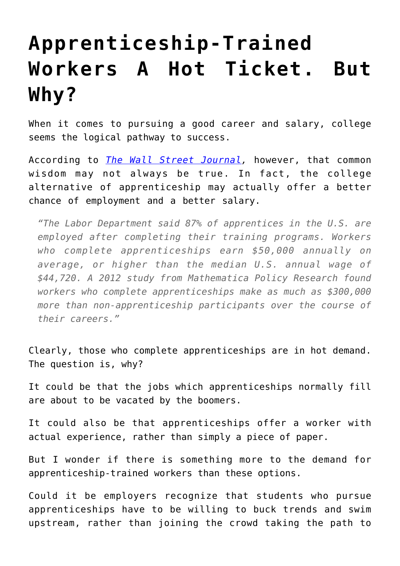## **[Apprenticeship-Trained](https://intellectualtakeout.org/2016/10/apprenticeship-trained-workers-a-hot-ticket-but-why/) [Workers A Hot Ticket. But](https://intellectualtakeout.org/2016/10/apprenticeship-trained-workers-a-hot-ticket-but-why/) [Why?](https://intellectualtakeout.org/2016/10/apprenticeship-trained-workers-a-hot-ticket-but-why/)**

When it comes to pursuing a good career and salary, college seems the logical pathway to success.

According to *[The Wall Street Journal,](http://www.wsj.com/articles/u-s-companies-turn-to-german-training-model-to-fill-jobs-gap-1474911069)* however, that common wisdom may not always be true. In fact, the college alternative of apprenticeship may actually offer a better chance of employment and a better salary.

*"The Labor Department said 87% of apprentices in the U.S. are employed after completing their training programs. Workers who complete apprenticeships earn \$50,000 annually on average, or higher than the median U.S. annual wage of \$44,720. A 2012 study from Mathematica Policy Research found workers who complete apprenticeships make as much as \$300,000 more than non-apprenticeship participants over the course of their careers."*

Clearly, those who complete apprenticeships are in hot demand. The question is, why?

It could be that the jobs which apprenticeships normally fill are about to be vacated by the boomers.

It could also be that apprenticeships offer a worker with actual experience, rather than simply a piece of paper.

But I wonder if there is something more to the demand for apprenticeship-trained workers than these options.

Could it be employers recognize that students who pursue apprenticeships have to be willing to buck trends and swim upstream, rather than joining the crowd taking the path to